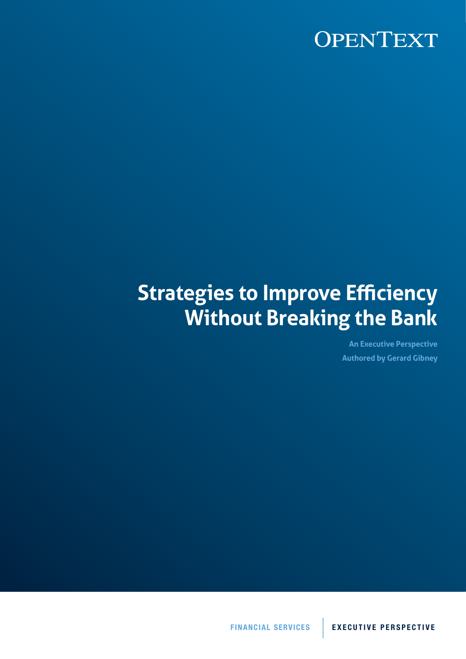# **Strategies to Improve Efficiency Without Breaking the Bank**

**An Executive Perspective Authored by Gerard Gibney**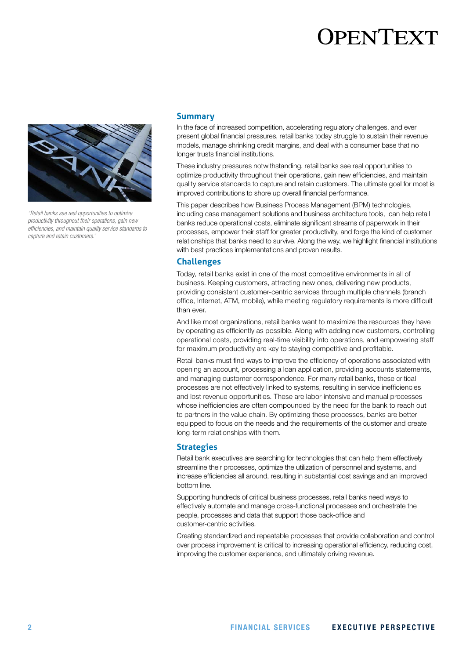

*"Retail banks see real opportunities to optimize productivity throughout their operations, gain new efficiencies, and maintain quality service standards to capture and retain customers."*

#### **Summary**

In the face of increased competition, accelerating regulatory challenges, and ever present global financial pressures, retail banks today struggle to sustain their revenue models, manage shrinking credit margins, and deal with a consumer base that no longer trusts financial institutions.

These industry pressures notwithstanding, retail banks see real opportunities to optimize productivity throughout their operations, gain new efficiencies, and maintain quality service standards to capture and retain customers. The ultimate goal for most is improved contributions to shore up overall financial performance.

This paper describes how Business Process Management (BPM) technologies, including case management solutions and business architecture tools, can help retail banks reduce operational costs, eliminate significant streams of paperwork in their processes, empower their staff for greater productivity, and forge the kind of customer relationships that banks need to survive. Along the way, we highlight financial institutions with best practices implementations and proven results.

### **Challenges**

Today, retail banks exist in one of the most competitive environments in all of business. Keeping customers, attracting new ones, delivering new products, providing consistent customer-centric services through multiple channels (branch office, Internet, ATM, mobile), while meeting regulatory requirements is more difficult than ever.

And like most organizations, retail banks want to maximize the resources they have by operating as efficiently as possible. Along with adding new customers, controlling operational costs, providing real-time visibility into operations, and empowering staff for maximum productivity are key to staying competitive and profitable.

Retail banks must find ways to improve the efficiency of operations associated with opening an account, processing a loan application, providing accounts statements, and managing customer correspondence. For many retail banks, these critical processes are not effectively linked to systems, resulting in service inefficiencies and lost revenue opportunities. These are labor-intensive and manual processes whose inefficiencies are often compounded by the need for the bank to reach out to partners in the value chain. By optimizing these processes, banks are better equipped to focus on the needs and the requirements of the customer and create long-term relationships with them.

### **Strategies**

Retail bank executives are searching for technologies that can help them effectively streamline their processes, optimize the utilization of personnel and systems, and increase efficiencies all around, resulting in substantial cost savings and an improved bottom line.

Supporting hundreds of critical business processes, retail banks need ways to effectively automate and manage cross-functional processes and orchestrate the people, processes and data that support those back-office and customer-centric activities.

Creating standardized and repeatable processes that provide collaboration and control over process improvement is critical to increasing operational efficiency, reducing cost, improving the customer experience, and ultimately driving revenue.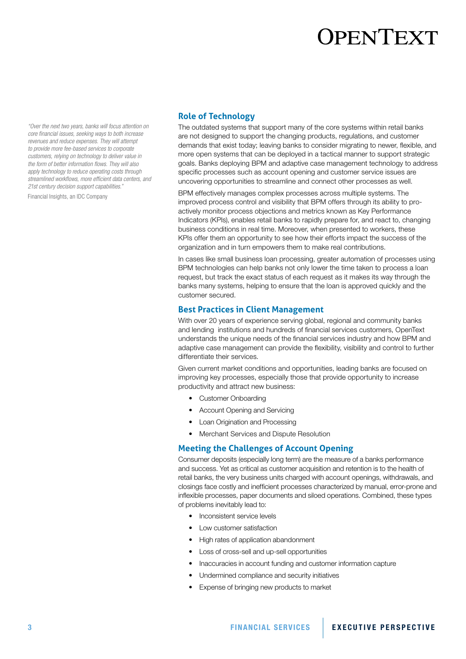*"Over the next two years, banks will focus attention on core financial issues, seeking ways to both increase revenues and reduce expenses. They will attempt to provide more fee-based services to corporate customers, relying on technology to deliver value in the form of better information flows. They will also apply technology to reduce operating costs through streamlined workflows, more efficient data centers, and 21st century decision support capabilities."*

Financial Insights, an IDC Company

#### **Role of Technology**

The outdated systems that support many of the core systems within retail banks are not designed to support the changing products, regulations, and customer demands that exist today; leaving banks to consider migrating to newer, flexible, and more open systems that can be deployed in a tactical manner to support strategic goals. Banks deploying BPM and adaptive case management technology to address specific processes such as account opening and customer service issues are uncovering opportunities to streamline and connect other processes as well.

BPM effectively manages complex processes across multiple systems. The improved process control and visibility that BPM offers through its ability to proactively monitor process objections and metrics known as Key Performance Indicators (KPIs), enables retail banks to rapidly prepare for, and react to, changing business conditions in real time. Moreover, when presented to workers, these KPIs offer them an opportunity to see how their efforts impact the success of the organization and in turn empowers them to make real contributions.

In cases like small business loan processing, greater automation of processes using BPM technologies can help banks not only lower the time taken to process a loan request, but track the exact status of each request as it makes its way through the banks many systems, helping to ensure that the loan is approved quickly and the customer secured.

#### **Best Practices in Client Management**

With over 20 years of experience serving global, regional and community banks and lending institutions and hundreds of financial services customers, OpenText understands the unique needs of the financial services industry and how BPM and adaptive case management can provide the flexibility, visibility and control to further differentiate their services.

Given current market conditions and opportunities, leading banks are focused on improving key processes, especially those that provide opportunity to increase productivity and attract new business:

- • Customer Onboarding
- Account Opening and Servicing
- Loan Origination and Processing
- Merchant Services and Dispute Resolution

### **Meeting the Challenges of Account Opening**

Consumer deposits (especially long term) are the measure of a banks performance and success. Yet as critical as customer acquisition and retention is to the health of retail banks, the very business units charged with account openings, withdrawals, and closings face costly and inefficient processes characterized by manual, error-prone and inflexible processes, paper documents and siloed operations. Combined, these types of problems inevitably lead to:

- Inconsistent service levels
- **Low customer satisfaction**
- High rates of application abandonment
- Loss of cross-sell and up-sell opportunities
- Inaccuracies in account funding and customer information capture
- Undermined compliance and security initiatives
- Expense of bringing new products to market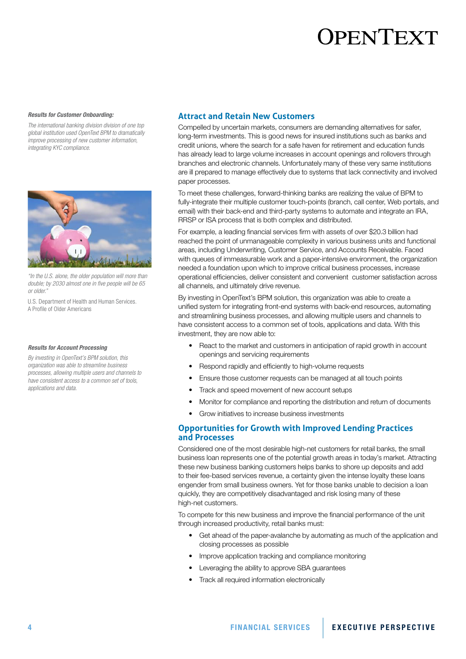#### *Results for Customer Onboarding:*

*The international banking division division of one top global institution used OpenText BPM to dramatically improve processing of new customer information, integrating KYC compliance.* 



*"In the U.S. alone, the older population will more than double; by 2030 almost one in five people will be 65 or older."*

U.S. Department of Health and Human Services. A Profile of Older Americans

#### *Results for Account Processing*

*By investing in OpenText's BPM solution, this organization was able to streamline business processes, allowing multiple users and channels to have consistent access to a common set of tools, applications and data.*

#### **Attract and Retain New Customers**

Compelled by uncertain markets, consumers are demanding alternatives for safer, long-term investments. This is good news for insured institutions such as banks and credit unions, where the search for a safe haven for retirement and education funds has already lead to large volume increases in account openings and rollovers through branches and electronic channels. Unfortunately many of these very same institutions are ill prepared to manage effectively due to systems that lack connectivity and involved paper processes.

To meet these challenges, forward-thinking banks are realizing the value of BPM to fully-integrate their multiple customer touch-points (branch, call center, Web portals, and email) with their back-end and third-party systems to automate and integrate an IRA, RRSP or ISA process that is both complex and distributed.

For example, a leading financial services firm with assets of over \$20.3 billion had reached the point of unmanageable complexity in various business units and functional areas, including Underwriting, Customer Service, and Accounts Receivable. Faced with queues of immeasurable work and a paper-intensive environment, the organization needed a foundation upon which to improve critical business processes, increase operational efficiencies, deliver consistent and convenient customer satisfaction across all channels, and ultimately drive revenue.

By investing in OpenText's BPM solution, this organization was able to create a unified system for integrating front-end systems with back-end resources, automating and streamlining business processes, and allowing multiple users and channels to have consistent access to a common set of tools, applications and data. With this investment, they are now able to:

- React to the market and customers in anticipation of rapid growth in account openings and servicing requirements
- Respond rapidly and efficiently to high-volume requests
- Ensure those customer requests can be managed at all touch points
- Track and speed movement of new account setups
- Monitor for compliance and reporting the distribution and return of documents
- Grow initiatives to increase business investments

### **Opportunities for Growth with Improved Lending Practices and Processes**

Considered one of the most desirable high-net customers for retail banks, the small business loan represents one of the potential growth areas in today's market. Attracting these new business banking customers helps banks to shore up deposits and add to their fee-based services revenue, a certainty given the intense loyalty these loans engender from small business owners. Yet for those banks unable to decision a loan quickly, they are competitively disadvantaged and risk losing many of these high-net customers.

To compete for this new business and improve the financial performance of the unit through increased productivity, retail banks must:

- Get ahead of the paper-avalanche by automating as much of the application and closing processes as possible
- Improve application tracking and compliance monitoring
- Leveraging the ability to approve SBA guarantees
- **Track all required information electronically**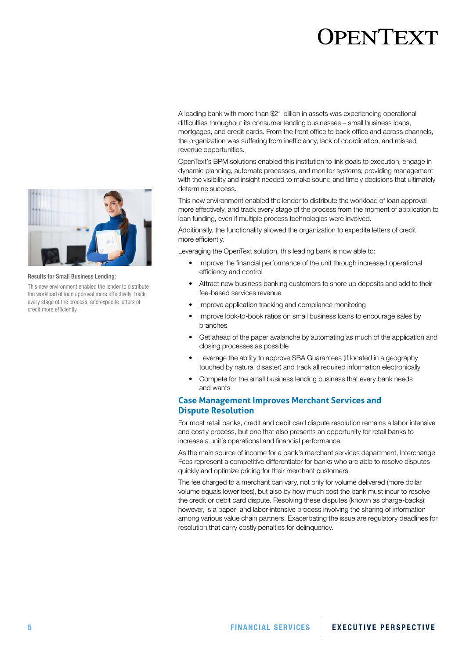# **JPENTEXT**

A leading bank with more than \$21 billion in assets was experiencing operational difficulties throughout its consumer lending businesses – small business loans, mortgages, and credit cards. From the front office to back office and across channels, the organization was suffering from inefficiency, lack of coordination, and missed revenue opportunities.

OpenText's BPM solutions enabled this institution to link goals to execution, engage in dynamic planning, automate processes, and monitor systems; providing management with the visibility and insight needed to make sound and timely decisions that ultimately determine success.

This new environment enabled the lender to distribute the workload of loan approval more effectively, and track every stage of the process from the moment of application to loan funding, even if multiple process technologies were involved.

Additionally, the functionality allowed the organization to expedite letters of credit more efficiently.

Leveraging the OpenText solution, this leading bank is now able to:

- Improve the financial performance of the unit through increased operational efficiency and control
- Attract new business banking customers to shore up deposits and add to their fee-based services revenue
- Improve application tracking and compliance monitoring
- Improve look-to-book ratios on small business loans to encourage sales by branches
- Get ahead of the paper avalanche by automating as much of the application and closing processes as possible
- Leverage the ability to approve SBA Guarantees (if located in a geography touched by natural disaster) and track all required information electronically
- Compete for the small business lending business that every bank needs and wants

### **Case Management Improves Merchant Services and Dispute Resolution**

For most retail banks, credit and debit card dispute resolution remains a labor intensive and costly process, but one that also presents an opportunity for retail banks to increase a unit's operational and financial performance.

As the main source of income for a bank's merchant services department, Interchange Fees represent a competitive differentiator for banks who are able to resolve disputes quickly and optimize pricing for their merchant customers.

The fee charged to a merchant can vary, not only for volume delivered (more dollar volume equals lower fees), but also by how much cost the bank must incur to resolve the credit or debit card dispute. Resolving these disputes (known as charge-backs); however, is a paper- and labor-intensive process involving the sharing of information among various value chain partners. Exacerbating the issue are regulatory deadlines for resolution that carry costly penalties for delinquency.



#### Results for Small Business Lending:

This new environment enabled the lender to distribute the workload of loan approval more effectively, track every stage of the process, and expedite letters of credit more efficiently.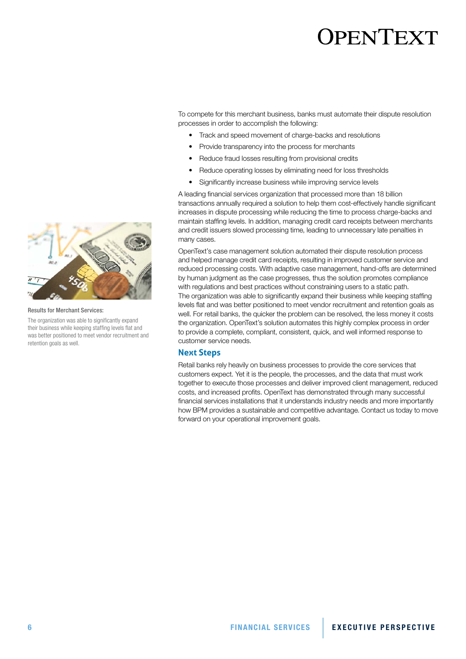To compete for this merchant business, banks must automate their dispute resolution processes in order to accomplish the following:

- Track and speed movement of charge-backs and resolutions
- Provide transparency into the process for merchants
- Reduce fraud losses resulting from provisional credits
- Reduce operating losses by eliminating need for loss thresholds
- Significantly increase business while improving service levels

A leading financial services organization that processed more than 18 billion transactions annually required a solution to help them cost-effectively handle significant increases in dispute processing while reducing the time to process charge-backs and maintain staffing levels. In addition, managing credit card receipts between merchants and credit issuers slowed processing time, leading to unnecessary late penalties in many cases.

OpenText's case management solution automated their dispute resolution process and helped manage credit card receipts, resulting in improved customer service and reduced processing costs. With adaptive case management, hand-offs are determined by human judgment as the case progresses, thus the solution promotes compliance with regulations and best practices without constraining users to a static path. The organization was able to significantly expand their business while keeping staffing levels flat and was better positioned to meet vendor recruitment and retention goals as well. For retail banks, the quicker the problem can be resolved, the less money it costs the organization. OpenText's solution automates this highly complex process in order to provide a complete, compliant, consistent, quick, and well informed response to customer service needs.

#### **Next Steps**

Retail banks rely heavily on business processes to provide the core services that customers expect. Yet it is the people, the processes, and the data that must work together to execute those processes and deliver improved client management, reduced costs, and increased profits. OpenText has demonstrated through many successful financial services installations that it understands industry needs and more importantly how BPM provides a sustainable and competitive advantage. Contact us today to move forward on your operational improvement goals.



Results for Merchant Services:

The organization was able to significantly expand their business while keeping staffing levels flat and was better positioned to meet vendor recruitment and retention goals as well.